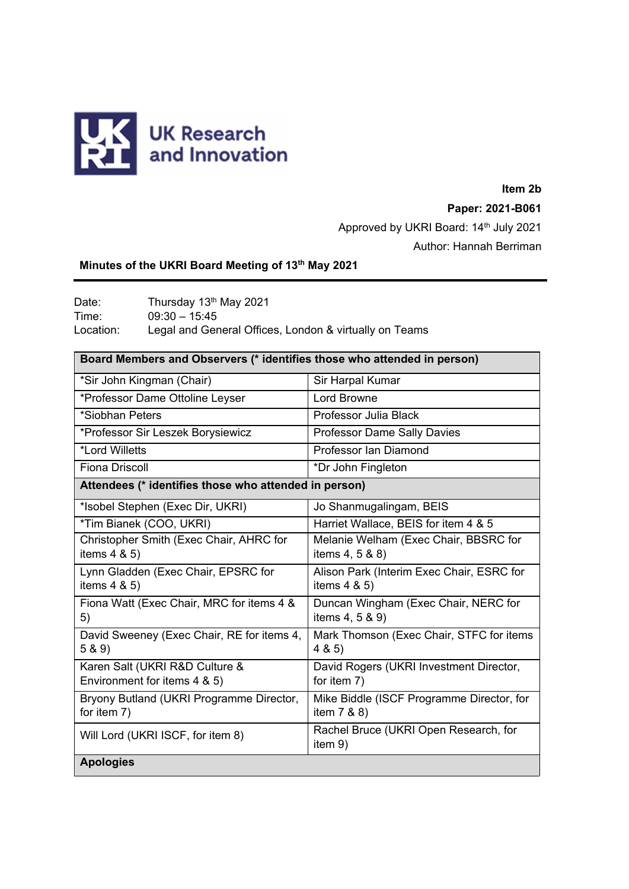

# **Item 2b Paper: 2021-B061**

Approved by UKRI Board: 14th July 2021 Author: Hannah Berriman

# **Minutes of the UKRI Board Meeting of 13th May 2021**

Date: Thursday 13<sup>th</sup> May 2021 Time: 09:30 – 15:45 Location: Legal and General Offices, London & virtually on Teams

| Board Members and Observers (* identifies those who attended in person) |                                                              |
|-------------------------------------------------------------------------|--------------------------------------------------------------|
| *Sir John Kingman (Chair)                                               | Sir Harpal Kumar                                             |
| *Professor Dame Ottoline Leyser                                         | Lord Browne                                                  |
| *Siobhan Peters                                                         | Professor Julia Black                                        |
| *Professor Sir Leszek Borysiewicz                                       | <b>Professor Dame Sally Davies</b>                           |
| *Lord Willetts                                                          | Professor Ian Diamond                                        |
| Fiona Driscoll                                                          | *Dr John Fingleton                                           |
| Attendees (* identifies those who attended in person)                   |                                                              |
| *Isobel Stephen (Exec Dir, UKRI)                                        | Jo Shanmugalingam, BEIS                                      |
| *Tim Bianek (COO, UKRI)                                                 | Harriet Wallace, BEIS for item 4 & 5                         |
| Christopher Smith (Exec Chair, AHRC for<br>items $4 & 5$ )              | Melanie Welham (Exec Chair, BBSRC for<br>items 4, 5 & 8)     |
| Lynn Gladden (Exec Chair, EPSRC for<br>items $4 & 5$ )                  | Alison Park (Interim Exec Chair, ESRC for<br>items $4 & 5$ ) |
| Fiona Watt (Exec Chair, MRC for items 4 &<br>5)                         | Duncan Wingham (Exec Chair, NERC for<br>items 4, 5 & 9)      |
| David Sweeney (Exec Chair, RE for items 4,<br>5 & 9)                    | Mark Thomson (Exec Chair, STFC for items<br>4 & 5)           |
| Karen Salt (UKRI R&D Culture &<br>Environment for items 4 & 5)          | David Rogers (UKRI Investment Director,<br>for item 7)       |
| Bryony Butland (UKRI Programme Director,<br>for item 7)                 | Mike Biddle (ISCF Programme Director, for<br>item 7 & 8)     |
| Will Lord (UKRI ISCF, for item 8)                                       | Rachel Bruce (UKRI Open Research, for<br>item 9)             |
| <b>Apologies</b>                                                        |                                                              |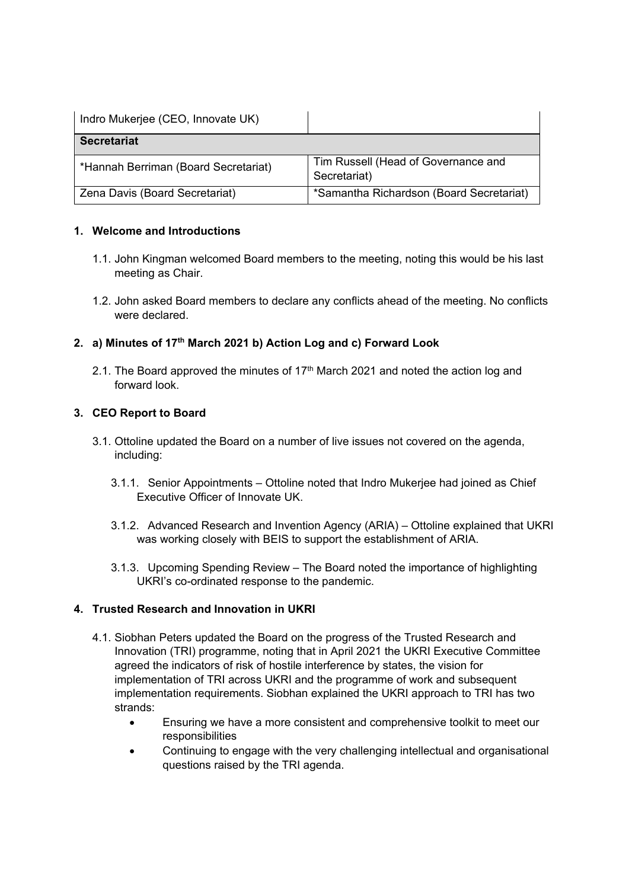| Indro Mukerjee (CEO, Innovate UK)    |                                                     |
|--------------------------------------|-----------------------------------------------------|
| <b>Secretariat</b>                   |                                                     |
| *Hannah Berriman (Board Secretariat) | Tim Russell (Head of Governance and<br>Secretariat) |
| Zena Davis (Board Secretariat)       | *Samantha Richardson (Board Secretariat)            |

### **1. Welcome and Introductions**

- 1.1. John Kingman welcomed Board members to the meeting, noting this would be his last meeting as Chair.
- 1.2. John asked Board members to declare any conflicts ahead of the meeting. No conflicts were declared.

## **2. a) Minutes of 17th March 2021 b) Action Log and c) Forward Look**

2.1. The Board approved the minutes of 17<sup>th</sup> March 2021 and noted the action log and forward look.

## **3. CEO Report to Board**

- 3.1. Ottoline updated the Board on a number of live issues not covered on the agenda, including:
	- 3.1.1. Senior Appointments Ottoline noted that Indro Mukerjee had joined as Chief Executive Officer of Innovate UK.
	- 3.1.2. Advanced Research and Invention Agency (ARIA) Ottoline explained that UKRI was working closely with BEIS to support the establishment of ARIA.
	- 3.1.3. Upcoming Spending Review The Board noted the importance of highlighting UKRI's co-ordinated response to the pandemic.

# **4. Trusted Research and Innovation in UKRI**

- 4.1. Siobhan Peters updated the Board on the progress of the Trusted Research and Innovation (TRI) programme, noting that in April 2021 the UKRI Executive Committee agreed the indicators of risk of hostile interference by states, the vision for implementation of TRI across UKRI and the programme of work and subsequent implementation requirements. Siobhan explained the UKRI approach to TRI has two strands:
	- Ensuring we have a more consistent and comprehensive toolkit to meet our responsibilities
	- Continuing to engage with the very challenging intellectual and organisational questions raised by the TRI agenda.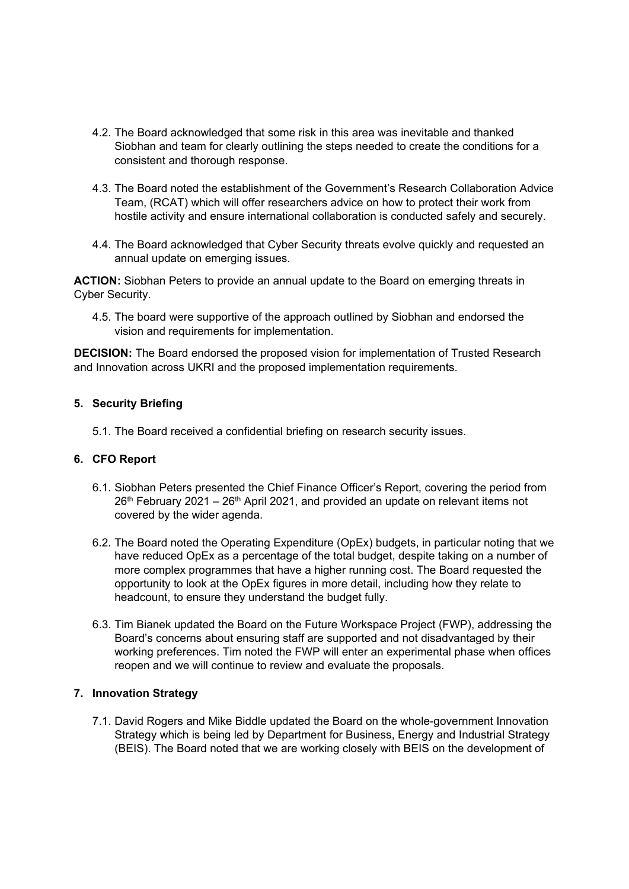- 4.2. The Board acknowledged that some risk in this area was inevitable and thanked Siobhan and team for clearly outlining the steps needed to create the conditions for a consistent and thorough response.
- 4.3. The Board noted the establishment of the Government's Research Collaboration Advice Team, (RCAT) which will offer researchers advice on how to protect their work from hostile activity and ensure international collaboration is conducted safely and securely.
- 4.4. The Board acknowledged that Cyber Security threats evolve quickly and requested an annual update on emerging issues.

**ACTION:** Siobhan Peters to provide an annual update to the Board on emerging threats in Cyber Security.

4.5. The board were supportive of the approach outlined by Siobhan and endorsed the vision and requirements for implementation.

**DECISION:** The Board endorsed the proposed vision for implementation of Trusted Research and Innovation across UKRI and the proposed implementation requirements.

#### **5. Security Briefing**

5.1. The Board received a confidential briefing on research security issues.

#### **6. CFO Report**

- 6.1. Siobhan Peters presented the Chief Finance Officer's Report, covering the period from  $26<sup>th</sup>$  February 2021 – 26<sup>th</sup> April 2021, and provided an update on relevant items not covered by the wider agenda.
- 6.2. The Board noted the Operating Expenditure (OpEx) budgets, in particular noting that we have reduced OpEx as a percentage of the total budget, despite taking on a number of more complex programmes that have a higher running cost. The Board requested the opportunity to look at the OpEx figures in more detail, including how they relate to headcount, to ensure they understand the budget fully.
- 6.3. Tim Bianek updated the Board on the Future Workspace Project (FWP), addressing the Board's concerns about ensuring staff are supported and not disadvantaged by their working preferences. Tim noted the FWP will enter an experimental phase when offices reopen and we will continue to review and evaluate the proposals.

### **7. Innovation Strategy**

7.1. David Rogers and Mike Biddle updated the Board on the whole-government Innovation Strategy which is being led by Department for Business, Energy and Industrial Strategy (BEIS). The Board noted that we are working closely with BEIS on the development of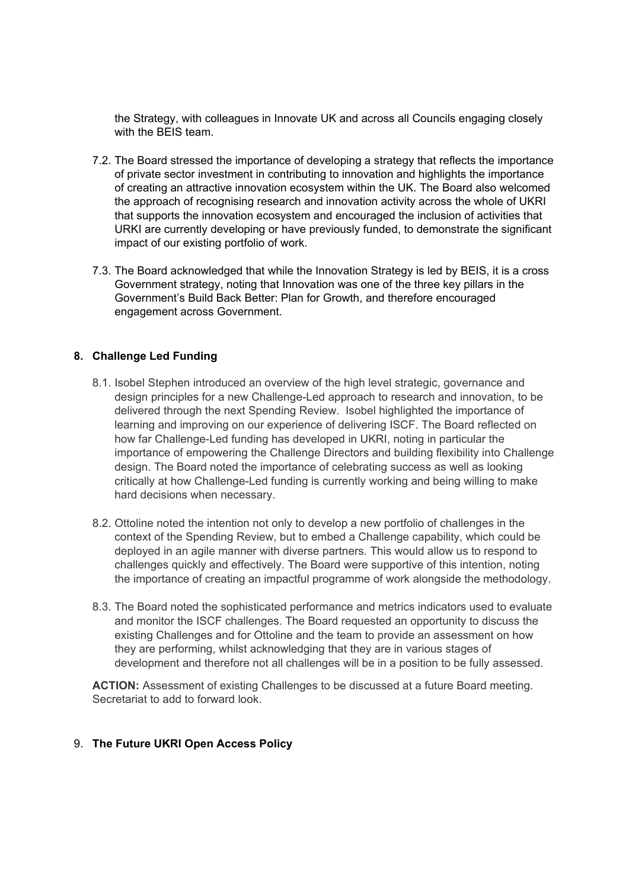the Strategy, with colleagues in Innovate UK and across all Councils engaging closely with the BEIS team.

- 7.2. The Board stressed the importance of developing a strategy that reflects the importance of private sector investment in contributing to innovation and highlights the importance of creating an attractive innovation ecosystem within the UK. The Board also welcomed the approach of recognising research and innovation activity across the whole of UKRI that supports the innovation ecosystem and encouraged the inclusion of activities that URKI are currently developing or have previously funded, to demonstrate the significant impact of our existing portfolio of work.
- 7.3. The Board acknowledged that while the Innovation Strategy is led by BEIS, it is a cross Government strategy, noting that Innovation was one of the three key pillars in the Government's Build Back Better: Plan for Growth, and therefore encouraged engagement across Government.

### **8. Challenge Led Funding**

- 8.1. Isobel Stephen introduced an overview of the high level strategic, governance and design principles for a new Challenge-Led approach to research and innovation, to be delivered through the next Spending Review. Isobel highlighted the importance of learning and improving on our experience of delivering ISCF. The Board reflected on how far Challenge-Led funding has developed in UKRI, noting in particular the importance of empowering the Challenge Directors and building flexibility into Challenge design. The Board noted the importance of celebrating success as well as looking critically at how Challenge-Led funding is currently working and being willing to make hard decisions when necessary.
- 8.2. Ottoline noted the intention not only to develop a new portfolio of challenges in the context of the Spending Review, but to embed a Challenge capability, which could be deployed in an agile manner with diverse partners. This would allow us to respond to challenges quickly and effectively. The Board were supportive of this intention, noting the importance of creating an impactful programme of work alongside the methodology.
- 8.3. The Board noted the sophisticated performance and metrics indicators used to evaluate and monitor the ISCF challenges. The Board requested an opportunity to discuss the existing Challenges and for Ottoline and the team to provide an assessment on how they are performing, whilst acknowledging that they are in various stages of development and therefore not all challenges will be in a position to be fully assessed.

**ACTION:** Assessment of existing Challenges to be discussed at a future Board meeting. Secretariat to add to forward look.

#### 9. **The Future UKRI Open Access Policy**